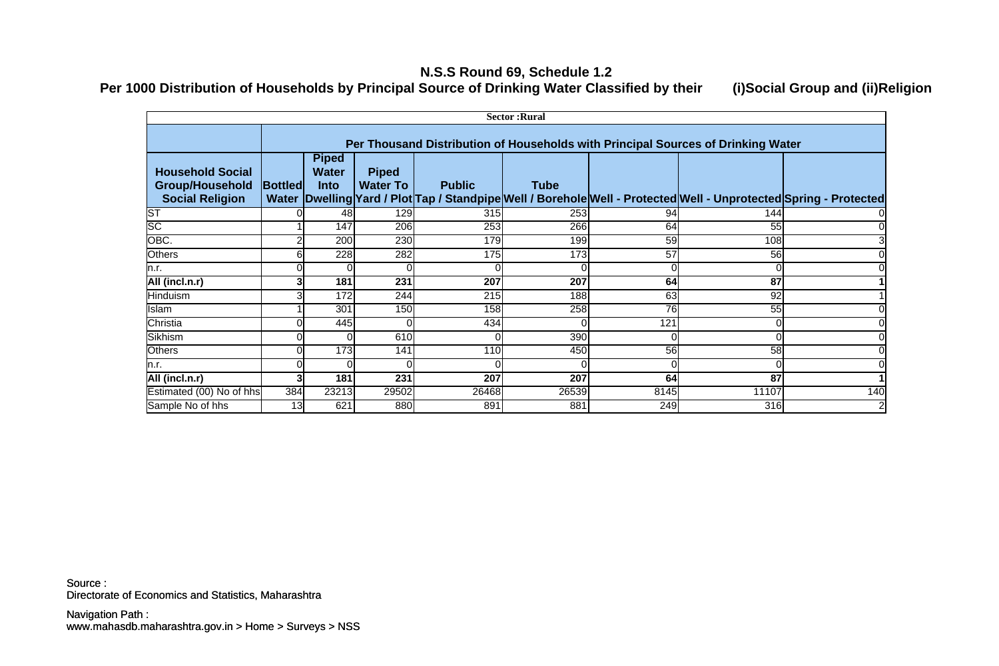| <b>Sector</b> : Rural                                                       |                |                                                                                  |                                 |               |             |      |                                                                                                                    |                |  |  |  |  |  |
|-----------------------------------------------------------------------------|----------------|----------------------------------------------------------------------------------|---------------------------------|---------------|-------------|------|--------------------------------------------------------------------------------------------------------------------|----------------|--|--|--|--|--|
|                                                                             |                | Per Thousand Distribution of Households with Principal Sources of Drinking Water |                                 |               |             |      |                                                                                                                    |                |  |  |  |  |  |
| <b>Household Social</b><br><b>Group/Household</b><br><b>Social Religion</b> | <b>Bottled</b> | <b>Piped</b><br><b>Water</b><br>Into                                             | <b>Piped</b><br><b>Water To</b> | <b>Public</b> | <b>Tube</b> |      | Water  Dwelling Yard / Plot Tap / Standpipe Well / Borehole Well - Protected Well - Unprotected Spring - Protected |                |  |  |  |  |  |
| $\overline{\mathsf{S}}$                                                     |                | 48                                                                               | 129                             | 315           | 253         | 94   | 144                                                                                                                |                |  |  |  |  |  |
| $\overline{SC}$                                                             |                | 147                                                                              | 206                             | 253           | 266         | 64   | 55                                                                                                                 |                |  |  |  |  |  |
| OBC.                                                                        |                | 200                                                                              | 230                             | 179           | 199         | 59   | 108                                                                                                                |                |  |  |  |  |  |
| <b>Others</b>                                                               | 6              | 228                                                                              | 282                             | 175           | 173         | 57   | 56                                                                                                                 |                |  |  |  |  |  |
| n.r.                                                                        |                |                                                                                  |                                 |               |             |      |                                                                                                                    |                |  |  |  |  |  |
| All (incl.n.r)                                                              |                | 181                                                                              | 231                             | 207           | 207         | 64   | 87                                                                                                                 |                |  |  |  |  |  |
| Hinduism                                                                    |                | 172                                                                              | 244                             | 215           | 188         | 63   | 92                                                                                                                 |                |  |  |  |  |  |
| Islam                                                                       |                | 301                                                                              | 150                             | 158           | 258         | 76   | 55                                                                                                                 |                |  |  |  |  |  |
| Christia                                                                    |                | 445                                                                              |                                 | 434           | $\Omega$    | 121  |                                                                                                                    |                |  |  |  |  |  |
| Sikhism                                                                     |                | $\Omega$                                                                         | 610                             |               | 390         |      |                                                                                                                    | $\Omega$       |  |  |  |  |  |
| <b>Others</b>                                                               |                | 173                                                                              | 141                             | 110           | 450         | 56   | 58                                                                                                                 |                |  |  |  |  |  |
| n.r.                                                                        |                |                                                                                  |                                 |               |             |      |                                                                                                                    |                |  |  |  |  |  |
| All (incl.n.r)                                                              | 3              | 181                                                                              | 231                             | 207           | 207         | 64   | 87                                                                                                                 |                |  |  |  |  |  |
| Estimated (00) No of hhs                                                    | 384            | 23213                                                                            | 29502                           | 26468         | 26539       | 8145 | 11107                                                                                                              | 140            |  |  |  |  |  |
| Sample No of hhs                                                            | 13             | 621                                                                              | 880                             | 891           | 881         | 249  | 316                                                                                                                | $\overline{2}$ |  |  |  |  |  |

Directorate of Economics and Statistics, Maharashtra Source :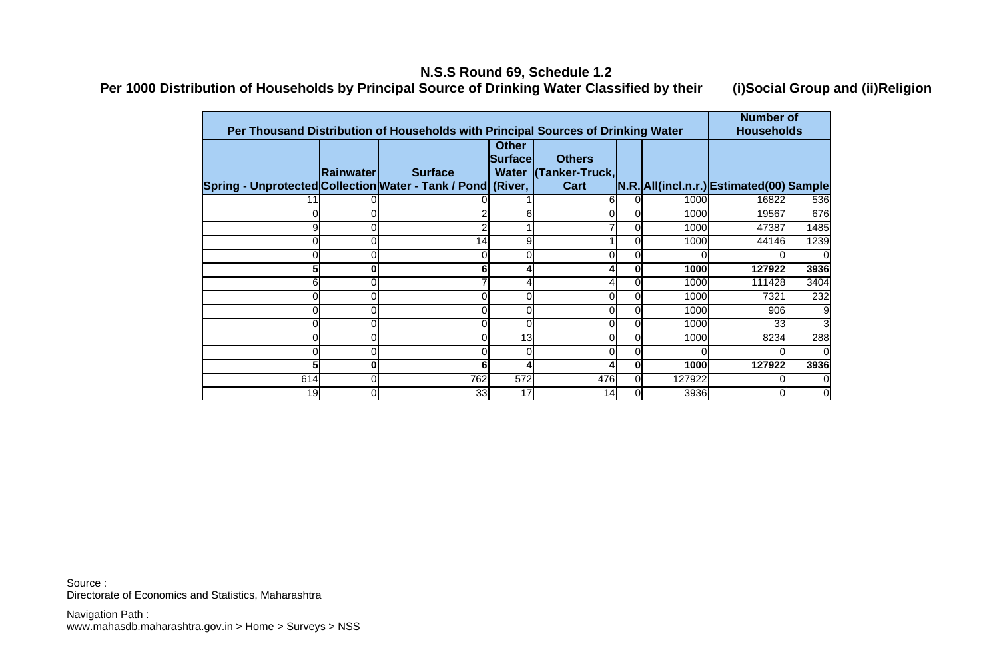|                                                             | <b>Number of</b> |                                                                                  |                |                       |          |        |                                              |      |
|-------------------------------------------------------------|------------------|----------------------------------------------------------------------------------|----------------|-----------------------|----------|--------|----------------------------------------------|------|
|                                                             |                  | Per Thousand Distribution of Households with Principal Sources of Drinking Water |                |                       |          |        | <b>Households</b>                            |      |
|                                                             |                  |                                                                                  | <b>Other</b>   |                       |          |        |                                              |      |
|                                                             |                  |                                                                                  | <b>Surface</b> | <b>Others</b>         |          |        |                                              |      |
|                                                             | <b>Rainwater</b> | <b>Surface</b>                                                                   |                | Water  (Tanker-Truck, |          |        |                                              |      |
| Spring - Unprotected Collection Water - Tank / Pond (River, |                  |                                                                                  |                | <b>Cart</b>           |          |        | $[N.R.]$ All(incl.n.r.) Estimated(00) Sample |      |
|                                                             |                  |                                                                                  |                | 6                     |          | 1000   | 16822                                        | 536  |
|                                                             |                  |                                                                                  | 6              | 0                     | 0        | 1000   | 19567                                        | 676  |
|                                                             | 0                |                                                                                  |                |                       | 0        | 1000   | 47387                                        | 1485 |
|                                                             | Οl               | 14                                                                               | 9              |                       | 0        | 1000   | 44146                                        | 1239 |
|                                                             |                  |                                                                                  |                |                       |          |        |                                              |      |
|                                                             | 0                | 6                                                                                |                | 4                     |          | 1000   | 127922                                       | 3936 |
| 6                                                           | 0                |                                                                                  |                | 4                     | 0        | 1000   | 111428                                       | 3404 |
|                                                             | 0                |                                                                                  | $\Omega$       | 0                     | 0        | 1000   | 7321                                         | 232  |
|                                                             | 0                |                                                                                  | 0              |                       |          | 1000   | 906                                          |      |
|                                                             | 0                |                                                                                  | $\Omega$       | 0                     | 0        | 1000   | 33                                           | 3    |
|                                                             | 0                |                                                                                  | 13             | 0                     | 0        | 1000   | 8234                                         | 288  |
|                                                             | 0                |                                                                                  | 0              |                       | U        |        |                                              |      |
|                                                             | 0                |                                                                                  |                | Δ                     | 0        | 1000   | 127922                                       | 3936 |
| 614                                                         | 0                | 762                                                                              | 572            | 476                   | $\Omega$ | 127922 |                                              |      |
| 19                                                          | 0l               | 33                                                                               | 17             | 14                    | 0        | 3936   |                                              |      |

Directorate of Economics and Statistics, Maharashtra Source :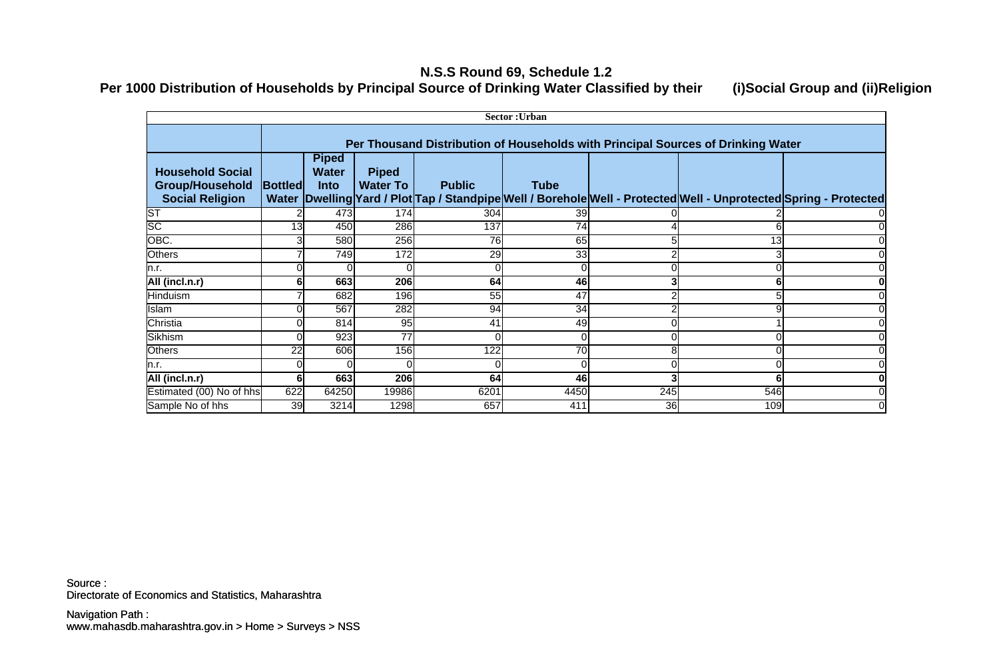| <b>Sector</b> : Urban                                                       |         |                                                                                  |                                 |               |                |     |                                                                                                                    |   |  |  |  |  |  |  |
|-----------------------------------------------------------------------------|---------|----------------------------------------------------------------------------------|---------------------------------|---------------|----------------|-----|--------------------------------------------------------------------------------------------------------------------|---|--|--|--|--|--|--|
|                                                                             |         | Per Thousand Distribution of Households with Principal Sources of Drinking Water |                                 |               |                |     |                                                                                                                    |   |  |  |  |  |  |  |
| <b>Household Social</b><br><b>Group/Household</b><br><b>Social Religion</b> | Bottled | <b>Piped</b><br><b>Water</b><br>Into                                             | <b>Piped</b><br><b>Water To</b> | <b>Public</b> | <b>Tube</b>    |     | Water  Dwelling Yard / Plot Tap / Standpipe Well / Borehole Well - Protected Well - Unprotected Spring - Protected |   |  |  |  |  |  |  |
| <b>ST</b>                                                                   |         | 473                                                                              | 174                             | 304           | 39             |     |                                                                                                                    |   |  |  |  |  |  |  |
| $\overline{SC}$                                                             | 13      | 450                                                                              | 286                             | 137           | 74             |     |                                                                                                                    |   |  |  |  |  |  |  |
| OBC.                                                                        |         | 580                                                                              | 256                             | 76            | 65             |     | 13                                                                                                                 |   |  |  |  |  |  |  |
| <b>Others</b>                                                               |         | 749                                                                              | 172                             | 29            | 33             |     |                                                                                                                    |   |  |  |  |  |  |  |
| n.r.                                                                        |         |                                                                                  |                                 |               |                |     |                                                                                                                    |   |  |  |  |  |  |  |
| All (incl.n.r)                                                              |         | 663                                                                              | 206                             | 64            | 46             |     |                                                                                                                    |   |  |  |  |  |  |  |
| Hinduism                                                                    |         | 682                                                                              | 196                             | 55            | 47             |     |                                                                                                                    |   |  |  |  |  |  |  |
| Islam                                                                       |         | 567                                                                              | 282                             | 94            | 34             |     |                                                                                                                    |   |  |  |  |  |  |  |
| Christia                                                                    |         | 814                                                                              | 95                              | 41            | 49             |     |                                                                                                                    |   |  |  |  |  |  |  |
| Sikhism                                                                     |         | 923                                                                              | 77                              |               | $\overline{O}$ |     |                                                                                                                    |   |  |  |  |  |  |  |
| <b>Others</b>                                                               | 22      | 606                                                                              | 156                             | 122           | 70             |     |                                                                                                                    |   |  |  |  |  |  |  |
| n.r.                                                                        |         |                                                                                  |                                 |               |                |     |                                                                                                                    |   |  |  |  |  |  |  |
| All (incl.n.r)                                                              | 6       | 663                                                                              | 206                             | 64            | 46             |     |                                                                                                                    |   |  |  |  |  |  |  |
| Estimated (00) No of hhs                                                    | 622     | 64250                                                                            | 19986                           | 6201          | 4450           | 245 | 546                                                                                                                |   |  |  |  |  |  |  |
| Sample No of hhs                                                            | 39      | 3214                                                                             | 1298                            | 657           | 411            | 36  | 109                                                                                                                | 0 |  |  |  |  |  |  |

Directorate of Economics and Statistics, Maharashtra Source :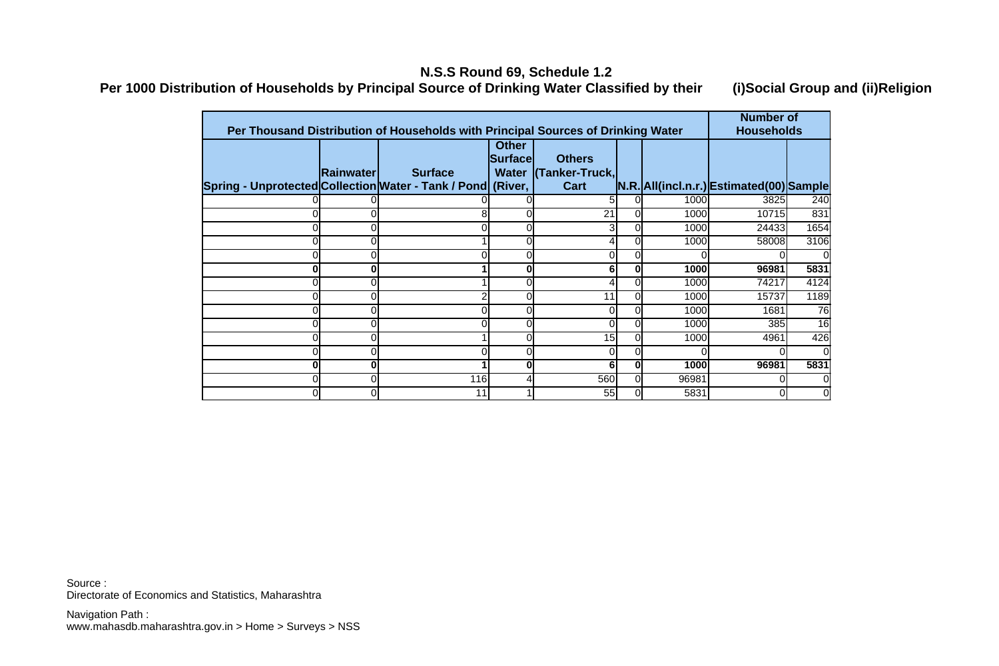|                                                                                  | <b>Number of</b>  |                |                                |                       |   |       |                                           |      |
|----------------------------------------------------------------------------------|-------------------|----------------|--------------------------------|-----------------------|---|-------|-------------------------------------------|------|
| Per Thousand Distribution of Households with Principal Sources of Drinking Water | <b>Households</b> |                |                                |                       |   |       |                                           |      |
|                                                                                  |                   |                | <b>Other</b><br><b>Surface</b> | <b>Others</b>         |   |       |                                           |      |
|                                                                                  | <b>Rainwater</b>  | <b>Surface</b> |                                | Water  (Tanker-Truck, |   |       |                                           |      |
| Spring - Unprotected Collection Water - Tank / Pond (River,                      |                   |                |                                | <b>Cart</b>           |   |       | N.R. All(incl.n.r.) Estimated (00) Sample |      |
|                                                                                  |                   |                |                                |                       |   | 1000  | 3825                                      | 240  |
|                                                                                  | ΩI                |                |                                | 21                    |   | 1000  | 10715                                     | 831  |
|                                                                                  | Ωl                |                |                                | 3 <sub>l</sub>        | 0 | 1000  | 24433                                     | 1654 |
|                                                                                  | ΩI                |                |                                |                       |   | 1000  | 58008                                     | 3106 |
|                                                                                  | 01                |                |                                | U                     |   |       |                                           |      |
|                                                                                  | 0                 |                | 0                              | 6                     | 0 | 1000  | 96981                                     | 5831 |
|                                                                                  | 01                |                | 0                              | 4                     | 0 | 1000  | 74217                                     | 4124 |
|                                                                                  | Οl                |                | 0                              | 11                    | 0 | 1000  | 15737                                     | 1189 |
|                                                                                  | Οl                |                |                                | 0                     | 0 | 1000  | 1681                                      | 76   |
|                                                                                  | 0l                |                |                                | 0                     | 0 | 1000  | 385                                       | 16   |
|                                                                                  | Οl                |                | 0                              | 15                    | 0 | 1000  | 4961                                      | 426  |
|                                                                                  | Οl                |                | 0                              | 0                     | 0 |       |                                           |      |
|                                                                                  | $\mathbf{0}$      |                | 0                              | 6                     | 0 | 1000  | 96981                                     | 5831 |
|                                                                                  | Ωl                | 116            |                                | 560                   | 0 | 96981 |                                           |      |
|                                                                                  | Οl                |                |                                | 55                    | 0 | 5831  |                                           |      |

Directorate of Economics and Statistics, Maharashtra Source :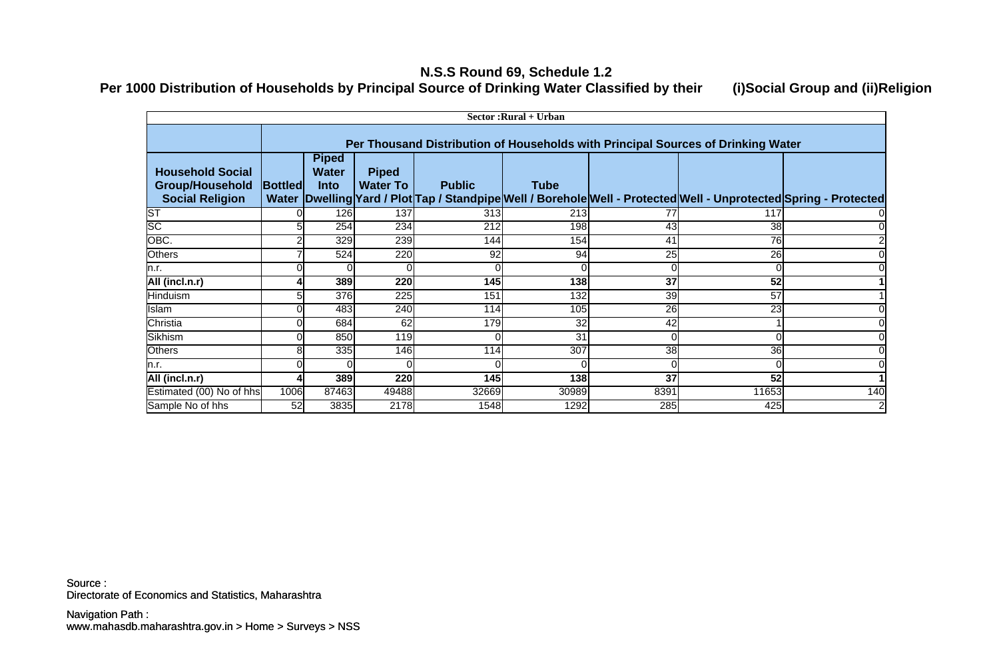| Sector: Rural + Urban                                                       |                |                                                                                  |                                 |               |             |      |                                                                                                                    |                |  |  |  |  |  |
|-----------------------------------------------------------------------------|----------------|----------------------------------------------------------------------------------|---------------------------------|---------------|-------------|------|--------------------------------------------------------------------------------------------------------------------|----------------|--|--|--|--|--|
|                                                                             |                | Per Thousand Distribution of Households with Principal Sources of Drinking Water |                                 |               |             |      |                                                                                                                    |                |  |  |  |  |  |
| <b>Household Social</b><br><b>Group/Household</b><br><b>Social Religion</b> | <b>Bottled</b> | <b>Piped</b><br><b>Water</b><br>Into                                             | <b>Piped</b><br><b>Water To</b> | <b>Public</b> | <b>Tube</b> |      | Water  Dwelling Yard / Plot Tap / Standpipe Well / Borehole Well - Protected Well - Unprotected Spring - Protected |                |  |  |  |  |  |
| $\overline{\text{ST}}$                                                      |                | 126                                                                              | 137                             | 313           | 213         |      | 117                                                                                                                |                |  |  |  |  |  |
| $\overline{SC}$                                                             |                | 254                                                                              | 234                             | 212           | 198         | 43   | 38                                                                                                                 |                |  |  |  |  |  |
| OBC.                                                                        |                | 329                                                                              | 239                             | 144           | 154         | 41   | 76                                                                                                                 |                |  |  |  |  |  |
| <b>Others</b>                                                               |                | 524                                                                              | 220                             | 92            | 94          | 25   | 26                                                                                                                 |                |  |  |  |  |  |
| n.r.                                                                        |                |                                                                                  |                                 |               |             |      |                                                                                                                    |                |  |  |  |  |  |
| All (incl.n.r)                                                              |                | 389                                                                              | 220                             | 145           | 138         | 37   | 52                                                                                                                 |                |  |  |  |  |  |
| <b>Hinduism</b>                                                             |                | 376                                                                              | 225                             | 151           | 132         | 39   | 57                                                                                                                 |                |  |  |  |  |  |
| Islam                                                                       |                | 483                                                                              | 240                             | 114           | 105         | 26   | 23                                                                                                                 |                |  |  |  |  |  |
| Christia                                                                    |                | 684                                                                              | 62                              | 179           | 32          | 42   |                                                                                                                    |                |  |  |  |  |  |
| Sikhism                                                                     |                | 850                                                                              | 119                             | O             | 31          |      |                                                                                                                    |                |  |  |  |  |  |
| <b>Others</b>                                                               |                | 335                                                                              | 146                             | 114           | 307         | 38   | 36                                                                                                                 |                |  |  |  |  |  |
| n.r.                                                                        |                |                                                                                  |                                 |               |             |      |                                                                                                                    |                |  |  |  |  |  |
| All (incl.n.r)                                                              |                | 389                                                                              | 220                             | 145           | 138         | 37   | 52                                                                                                                 |                |  |  |  |  |  |
| Estimated (00) No of hhs                                                    | 1006           | 87463                                                                            | 49488                           | 32669         | 30989       | 8391 | 11653                                                                                                              | 140            |  |  |  |  |  |
| Sample No of hhs                                                            | 52             | 3835                                                                             | 2178                            | 1548          | 1292        | 285  | 425                                                                                                                | $\overline{2}$ |  |  |  |  |  |

Directorate of Economics and Statistics, Maharashtra Source :